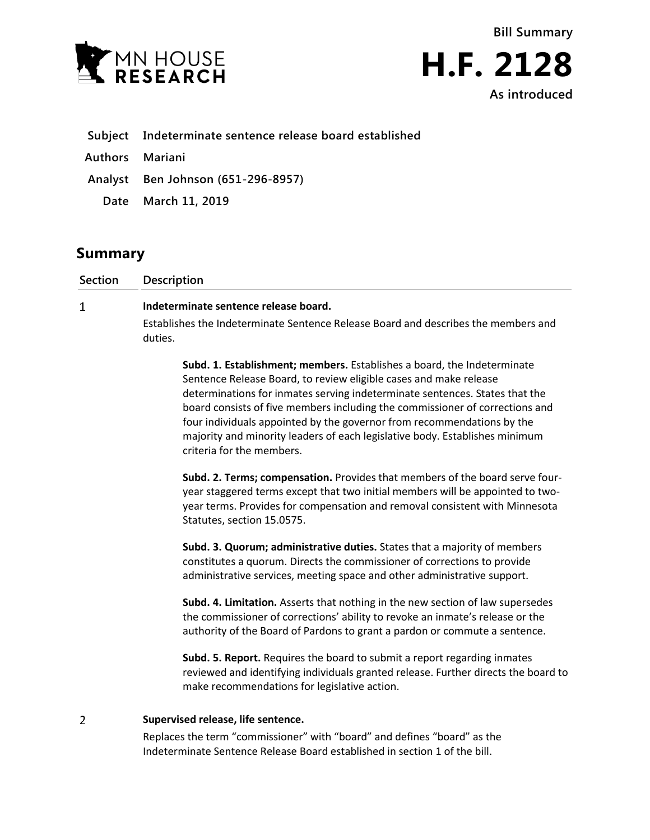



|  | Subject Indeterminate sentence release board established |  |  |  |  |
|--|----------------------------------------------------------|--|--|--|--|
|--|----------------------------------------------------------|--|--|--|--|

- **Authors Mariani**
- **Analyst Ben Johnson (651-296-8957)**
	- **Date March 11, 2019**

## **Summary**

| Section | <b>Description</b>                                                                            |  |  |  |  |
|---------|-----------------------------------------------------------------------------------------------|--|--|--|--|
| 1       | Indeterminate sentence release board.                                                         |  |  |  |  |
|         | Establishes the Indeterminate Sentence Release Board and describes the members and<br>duties. |  |  |  |  |
|         | Subd. 1. Establishment; members. Establishes a board, the Indeterminate                       |  |  |  |  |

Sentence Release Board, to review eligible cases and make release determinations for inmates serving indeterminate sentences. States that the board consists of five members including the commissioner of corrections and four individuals appointed by the governor from recommendations by the majority and minority leaders of each legislative body. Establishes minimum criteria for the members.

**Subd. 2. Terms; compensation.** Provides that members of the board serve fouryear staggered terms except that two initial members will be appointed to twoyear terms. Provides for compensation and removal consistent with Minnesota Statutes, section 15.0575.

**Subd. 3. Quorum; administrative duties.** States that a majority of members constitutes a quorum. Directs the commissioner of corrections to provide administrative services, meeting space and other administrative support.

**Subd. 4. Limitation.** Asserts that nothing in the new section of law supersedes the commissioner of corrections' ability to revoke an inmate's release or the authority of the Board of Pardons to grant a pardon or commute a sentence.

**Subd. 5. Report.** Requires the board to submit a report regarding inmates reviewed and identifying individuals granted release. Further directs the board to make recommendations for legislative action.

## $\overline{2}$ **Supervised release, life sentence.**

Replaces the term "commissioner" with "board" and defines "board" as the Indeterminate Sentence Release Board established in section 1 of the bill.